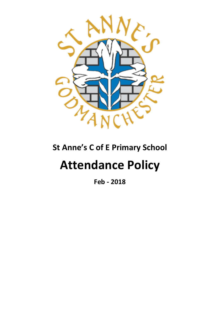

# **St Anne's C of E Primary School**

# **Attendance Policy**

**Feb - 2018**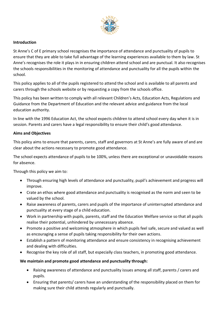

#### **Introduction**

St Anne's C of E primary school recognises the importance of attendance and punctuality of pupils to ensure that they are able to take full advantage of the learning experiences available to them by law. St Anne's recognises the role it plays in in ensuring children attend school and are punctual. It also recognises the schools responsibilities in the monitoring of attendance and punctuality for all the pupils within the school.

This policy applies to all of the pupils registered to attend the school and is available to all parents and carers through the schools website or by requesting a copy from the schools office.

This policy has been written to comply with all relevant Children's Acts, Education Acts, Regulations and Guidance from the Department of Education and the relevant advice and guidance from the local education authority.

In line with the 1996 Education Act, the school expects children to attend school every day when it is in session. Parents and carers have a legal responsibility to ensure their child's good attendance.

#### **Aims and Objectives**

This policy aims to ensure that parents, carers, staff and governors at St Anne's are fully aware of and are clear about the actions necessary to promote good attendance.

The school expects attendance of pupils to be 100%, unless there are exceptional or unavoidable reasons for absence.

Through this policy we aim to:

- Through ensuring high levels of attendance and punctuality, pupil's achievement and progress will improve.
- Crate an ethos where good attendance and punctuality is recognised as the norm and seen to be valued by the school.
- Raise awareness of parents, carers and pupils of the importance of uninterrupted attendance and punctuality at every stage of a child education.
- Work in partnership with pupils, parents, staff and the Education Welfare service so that all pupils realise their potential, unhindered by unnecessary absence.
- Promote a positive and welcoming atmosphere in which pupils feel safe, secure and valued as well as encouraging a sense of pupils taking responsibility for their own actions.
- Establish a pattern of monitoring attendance and ensure consistency in recognising achievement and dealing with difficulties.
- Recognise the key role of all staff, but especially class teachers, in promoting good attendance.

#### **We maintain and promote good attendance and punctuality through:**

- Raising awareness of attendance and punctuality issues among all staff, parents / carers and pupils.
- Ensuring that parents/ carers have an understanding of the responsibility placed on them for making sure their child attends regularly and punctually.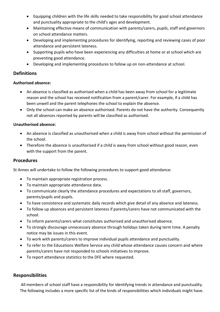- Equipping children with the life skills needed to take responsibility for good school attendance and punctuality appropriate to the child's ages and development.
- Maintaining effective means of communication with parents/carers, pupils, staff and governors on school attendance matters.
- Developing and implementing procedures for identifying, reporting and reviewing cases of poor attendance and persistent lateness.
- Supporting pupils who have been experiencing any difficulties at home or at school which are preventing good attendance.
- Developing and implementing procedures to follow up on non-attendance at school.

#### **Definitions**

#### **Authorised absence:**

- An absence is classified as authorised when a child has been away from school for a legitimate reason and the school has received notification from a parent/carer. For example, if a child has been unwell and the parent telephones the school to explain the absence.
- Only the school can make an absence authorised. Parents do not have the authority. Consequently not all absences reported by parents will be classified as authorised.

#### **Unauthorised absence:**

- An absence is classified as unauthorised when a child is away from school without the permission of the school.
- Therefore the absence is unauthorised if a child is away from school without good reason, even with the support from the parent.

#### **Procedures**

St Annes will undertake to follow the following procedures to support good attendance:

- To maintain appropriate registration process.
- To maintain appropriate attendance data.
- To communicate clearly the attendance procedures and expectations to all staff, governors, parents/pupils and pupils.
- To have consistence and systematic daily records which give detail of any absence and lateness.
- To follow up absences and persistent lateness if parents/carers have not communicated with the school.
- To inform parents/carers what constitutes authorised and unauthorised absence.
- To strongly discourage unnecessary absence through holidays taken during term time. A penalty notice may be issues in this event.
- To work with parents/carers to improve individual pupils attendance and punctuality.
- To refer to the Educations Welfare Service any child whose attendance causes concern and where parents/carers have not responded to schools initiatives to improve.
- To report attendance statistics to the DFE where requested.

#### **Responsibilities**

All members of school staff have a responsibility for identifying trends in attendance and punctuality. The following includes a more specific list of the kinds of responsibilities which individuals might have.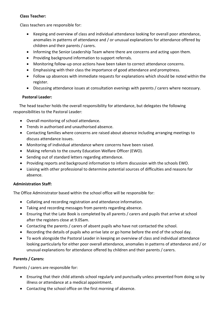#### **Class Teacher:**

Class teachers are responsible for:

- Keeping and overview of class and individual attendance looking for overall poor attendance, anomalies in patterns of attendance and / or unusual explanations for attendance offered by children and their parents / carers.
- Informing the Senior Leadership Team where there are concerns and acting upon them.
- Providing background information to support referrals.
- Monitoring follow-up once actions have been taken to correct attendance concerns.
- Emphasising with their class the importance of good attendance and promptness.
- Follow up absences with immediate requests for explanations which should be noted within the register.
- Discussing attendance issues at consultation evenings with parents / carers where necessary.

#### **Pastoral Leader:**

 The head teacher holds the overall responsibility for attendance, but delegates the following responsibilities to the Pastoral Leader:

- Overall monitoring of school attendance.
- Trends in authorised and unauthorised absence.
- Contacting families where concerns are raised about absence including arranging meetings to discuss attendance issues.
- Monitoring of individual attendance where concerns have been raised.
- Making referrals to the county Education Welfare Officer (EWO).
- Sending out of standard letters regarding attendance.
- Providing reports and background information to inform discussion with the schools EWO.
- Liaising with other professional to determine potential sources of difficulties and reasons for absence.

#### **Administration Staff:**

The Office Administrator based within the school office will be responsible for:

- Collating and recording registration and attendance information.
- Taking and recording messages from parents regarding absence.
- Ensuring that the Late Book is completed by all parents / carers and pupils that arrive at school after the registers close at 9.05am.
- Contacting the parents / carers of absent pupils who have not contacted the school.
- Recording the details of pupils who arrive late or go home before the end of the school day.
- To work alongside the Pastoral Leader in keeping an overview of class and individual attendance looking particularly for either poor overall attendance, anomalies in patterns of attendance and / or unusual explanations for attendance offered by children and their parents / carers.

#### **Parents / Carers:**

Parents / carers are responsible for:

- Ensuring that their child attends school regularly and punctually unless prevented from doing so by illness or attendance at a medical appointment.
- Contacting the school office on the first morning of absence.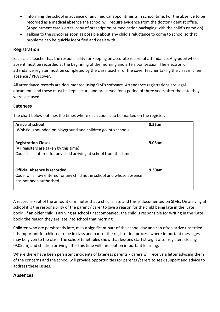- Informing the school in advance of any medical appointments in school time. For the absence to be recorded as a medical absence the school will require evidence from the doctor / dentist office. (Appointment card /letter, copy of prescription or medication packaging with the child's name on)
- Talking to the school as soon as possible about any child's reluctance to come to school so that problems can be quickly identified and dealt with.

#### **Registration**

Each class teacher has the responsibility for keeping an accurate record of attendance. Any pupil who is absent must be recorded at the beginning of the morning and afternoon session. The electronic attendance register must be completed by the class teacher or the cover teacher taking the class in their absence / PPA cover.

All attendance records are documented using SIM's software. Attendance registrations are legal documents and these must be kept secure and preserved for a period of three years after the date they were last used.

#### **Lateness**

The chart below outlines the times where each code is to be marked on the register.

| Arrive at school<br>(Whistle is sounded on playground and children go into school)                                                           | 8.55am |
|----------------------------------------------------------------------------------------------------------------------------------------------|--------|
| <b>Registration Closes</b><br>(All registers are taken by this time)<br>Code 'L' is entered for any child arriving at school from this time. | 9.05am |
| <b>Official Absence is recorded</b><br>Code 'U' is now entered for any child not in school and whose absence<br>has not been authorised.     | 9.30am |

A record is kept of the amount of minutes that a child is late and this is documented on SIMs. On arriving at school it is the responsibility of the parent / carer to give a reason for the child being late in the 'Late book'. If an older child is arriving at school unaccompanied, the child is responsible for writing in the 'Late book' the reason they are late into school that morning.

Children who are persistently late, miss a significant part of the school day and can often arrive unsettled. It is important for children to be in class and part of the registration process where important messages may be given to the class. The school timetables show that lessons start straight after registers closing (9.05am) and children arriving after this time will miss out on important learning.

Where there have been persistent incidents of lateness parents / carers will receive a letter advising them of the concerns and the school will provide opportunities for parents /carers to seek support and advice to address these issues.

#### **Absences**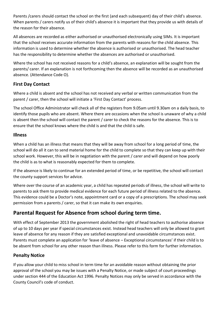Parents /carers should contact the school on the first (and each subsequent) day of their child's absence. When parents / carers notify us of their child's absence it is important that they provide us with details of the reason for their absence.

All absences are recorded as either authorised or unauthorised electronically using SIMs. It is important that the school receives accurate information from the parents with reasons for the child absence. This information is used to determine whether the absence is authorised or unauthorised. The head teacher has the responsibility to determine whether the absences are authorised or unauthorised.

Where the school has not received reasons for a child's absence, an explanation will be sought from the parents/ carer. If an explanation is not forthcoming then the absence will be recorded as an unauthorised absence. (Attendance Code O).

#### **First Day Contact**

Where a child is absent and the school has not received any verbal or written communication from the parent / carer, then the school will initiate a 'First Day Contact' process.

The school Office Administrator will check all of the registers from 9.05am until 9.30am on a daily basis, to identify those pupils who are absent. Where there are occasions when the school is unaware of why a child is absent then the school will contact the parent / carer to check the reasons for the absence. This is to ensure that the school knows where the child is and that the child is safe.

#### **Illness**

When a child has an illness that means that they will be away from school for a long period of time, the school will do all it can to send material home for the child to complete so that they can keep up with their school work. However, this will be in negotiation with the parent / carer and will depend on how poorly the child is as to what is reasonably expected for them to complete.

If the absence is likely to continue for an extended period of time, or be repetitive, the school will contact the county support services for advice.

Where over the course of an academic year, a child has repeated periods of illness, the school will write to parents to ask them to provide medical evidence for each future period of illness related to the absence. This evidence could be a Doctor's note, appointment card or a copy of a prescriptions. The school may seek permission from a parents / carer, so that it can make its own enquiries.

# **Parental Request for Absence from school during term time.**

With effect of September 2013 the government abolished the right of head teachers to authorise absence of up to 10 days per year if special circumstances exist. Instead head teachers will only be allowed to grant leave of absence for any reason if they are satisfied exceptional and unavoidable circumstances exist. Parents must complete an application for 'leave of absence – Exceptional circumstances' if their child is to be absent from school for any other reason than illness. Please refer to this form for further information.

## **Penalty Notice**

If you allow your child to miss school in term time for an avoidable reason without obtaining the prior approval of the school you may be issues with a Penalty Notice, or made subject of court proceedings under section 444 of the Education Act 1996. Penalty Notices may only be served in accordance with the County Council's code of conduct.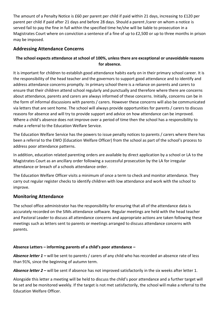The amount of a Penalty Notice is £60 per parent per child if paid within 21 days, increasing to £120 per parent per child if paid after 21 days and before 28 days. Should a parent /carer on whom a notice is served fail to pay the fine in full within the specified time he/she will be liable to prosecution in a Magistrates Court where on conviction a sentence of a fine of up to £2,500 or up to three months in prison may be imposed.

#### **Addressing Attendance Concerns**

#### **The school expects attendance at school of 100%, unless there are exceptional or unavoidable reasons for absence.**

It is important for children to establish good attendance habits early on in their primary school career. It is the responsibility of the head teacher and the governors to support good attendance and to identify and address attendance concerns promptly. In primary school there is a reliance on parents and carers to ensure that their children attend school regularly and punctually and therefore where there are concerns about attendance, parents and carers are always informed of these concerns. Initially, concerns can be in the form of informal discussions with parents / carers. However these concerns will also be communicated via letters that are sent home. The school will always provide opportunities for parents / carers to discuss reasons for absence and will try to provide support and advice on how attendance can be improved. Where a child's absence does not improve over a period of time then the school has a responsibility to make a referral to the Education Welfare Service.

The Education Welfare Service has the powers to issue penalty notices to parents / carers where there has been a referral to the EWO (Education Welfare Officer) from the school as part of the school's process to address poor attendance patterns.

In addition, education related parenting orders are available by direct application by a school or LA to the Magistrates Court as an ancillary order following a successful prosecution by the LA for irregular attendance or breach of a schools attendance order.

The Education Welfare Officer visits a minimum of once a term to check and monitor attendance. They carry out regular register checks to identify children with low attendance and work with the school to improve.

## **Monitoring Attendance**

The school office administrator has the responsibility for ensuring that all of the attendance data is accurately recorded on the SIMs attendance software. Regular meetings are held with the head teacher and Pastoral Leader to discuss all attendance concerns and appropriate actions are taken following these meetings such as letters sent to parents or meetings arranged to discuss attendance concerns with parents.

#### **Absence Letters – informing parents of a child's poor attendance –**

*Absence letter 1 –* will be sent to parents / carers of any child who has recorded an absence rate of less than 91%, since the beginning of autumn term.

*Absence letter 2 –* will be sent if absence has not improved satisfactorily in the six weeks after letter 1.

Alongside this letter a meeting will be held to discuss the child's poor attendance and a further target will be set and be monitored weekly. If the target is not met satisfactorily, the school will make a referral to the Education Welfare Officer.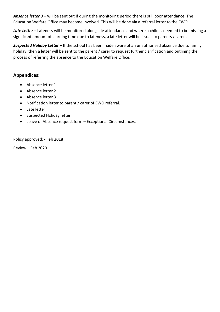*Absence letter 3 –* will be sent out if during the monitoring period there is still poor attendance. The Education Welfare Office may become involved. This will be done via a referral letter to the EWO.

*Late Letter –* Lateness will be monitored alongside attendance and where a child is deemed to be missing a significant amount of learning time due to lateness, a late letter will be issues to parents / carers.

*Suspected Holiday Letter –* If the school has been made aware of an unauthorised absence due to family holiday, then a letter will be sent to the parent / carer to request further clarification and outlining the process of referring the absence to the Education Welfare Office.

#### **Appendices:**

- Absence letter 1
- Absence letter 2
- Absence letter 3
- Notification letter to parent / carer of EWO referral.
- Late letter
- Suspected Holiday letter
- Leave of Absence request form Exceptional Circumstances.

Policy approved: - Feb 2018

Review – Feb 2020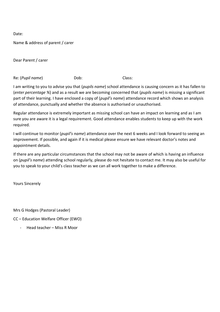Name & address of parent / carer

Dear Parent / carer

Re: (*Pupil name*) Dob: Class:

I am writing to you to advise you that (*pupils name*) school attendance is causing concern as it has fallen to (*enter percentage %*) and as a result we are becoming concerned that (*pupils name*) is missing a significant part of their learning. I have enclosed a copy of (*pupil's name*) attendance record which shows an analysis of attendance, punctually and whether the absence is authorised or unauthorised.

Regular attendance is extremely important as missing school can have an impact on learning and as I am sure you are aware it is a legal requirement. Good attendance enables students to keep up with the work required.

I will continue to monitor (*pupil's name*) attendance over the next 6 weeks and I look forward to seeing an improvement. If possible, and again if it is medical please ensure we have relevant doctor's notes and appointment details.

If there are any particular circumstances that the school may not be aware of which is having an influence on (*pupil's name*) attending school regularly, please do not hesitate to contact me. It may also be useful for you to speak to your child's class teacher as we can all work together to make a difference.

Yours Sincerely

Mrs G Hodges (Pastoral Leader)

CC – Education Welfare Officer (EWO)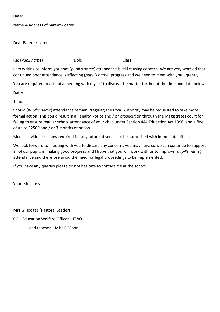Name & address of parent / carer

Dear Parent / carer

Re: (*Pupil name*) Dob: Class:

I am writing to inform you that (*pupil's name*) attendance is still causing concern. We are very worried that continued poor attendance is affecting (*pupil's name*) progress and we need to meet with you urgently.

You are required to attend a meeting with myself to discuss the matter further at the time and date below:

Date:

Time:

Should (*pupil's name*) attendance remain irregular; the Local Authority may be requested to take more formal action. This could result in a Penalty Notice and / or prosecution through the Magistrates court for failing to ensure regular school attendance of your child under Section 444 Education Act 1996, and a fine of up to £2500 and / or 3 months of prison.

Medical evidence is now required for any future absences to be authorised with immediate effect.

We look forward to meeting with you to discuss any concerns you may have so we can continue to support all of our pupils in making good progress and I hope that you will work with us to improve (*pupil's name*) attendance and therefore avoid the need for legal proceedings to be implemented.

If you have any queries please do not hesitate to contact me at the school.

Yours sincerely

Mrs G Hodges (Pastoral Leader)

CC – Education Welfare Officer – EWO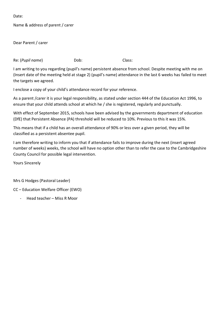Name & address of parent / carer

Dear Parent / carer

Re: (*Pupil name*) Dob: Dob: Class:

I am writing to you regarding (pupil's name) persistent absence from school. Despite meeting with me on (Insert date of the meeting held at stage 2) (pupil's name) attendance in the last 6 weeks has failed to meet the targets we agreed.

I enclose a copy of your child's attendance record for your reference.

As a parent /carer it is your legal responsibility, as stated under section 444 of the Education Act 1996, to ensure that your child attends school at which he / she is registered, regularly and punctually.

With effect of September 2015, schools have been advised by the governments department of education (DfE) that Persistent Absence (PA) threshold will be reduced to 10%. Previous to this it was 15%.

This means that if a child has an overall attendance of 90% or less over a given period, they will be classified as a persistent absentee pupil.

I am therefore writing to inform you that if attendance fails to improve during the next (insert agreed number of weeks) weeks, the school will have no option other than to refer the case to the Cambridgeshire County Council for possible legal intervention.

Yours Sincerely

Mrs G Hodges (Pastoral Leader)

CC – Education Welfare Officer (EWO)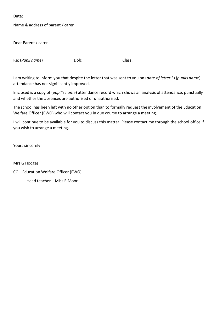Name & address of parent / carer

Dear Parent / carer

Re: (*Pupil name*) Dob: Dob: Class:

I am writing to inform you that despite the letter that was sent to you on (*date of letter 3*) (*pupils name*) attendance has not significantly improved.

Enclosed is a copy of (*pupil's name*) attendance record which shows an analysis of attendance, punctually and whether the absences are authorised or unauthorised.

The school has been left with no other option than to formally request the involvement of the Education Welfare Officer (EWO) who will contact you in due course to arrange a meeting.

I will continue to be available for you to discuss this matter. Please contact me through the school office if you wish to arrange a meeting.

Yours sincerely

Mrs G Hodges

CC – Education Welfare Officer (EWO)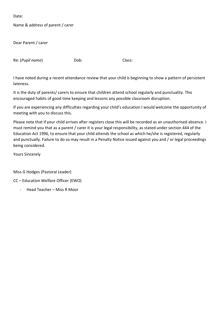Name & address of parent / carer

Dear Parent / carer

Re: (*Pupil name*) Dob: Dob: Class:

I have noted during a recent attendance review that your child is beginning to show a pattern of persistent lateness.

It is the duty of parents/ carers to ensure that children attend school regularly and punctuality. This encouraged habits of good time keeping and lessons any possible classroom disruption.

If you are experiencing any difficulties regarding your child's education I would welcome the opportunity of meeting with you to discuss this.

Please note that if your child arrives after registers close this will be recorded as an unauthorised absence. I must remind you that as a parent / carer it is your legal responsibility, as stated under section 444 of the Education Act 1996, to ensure that your child attends the school as which he/she is registered, regularly and punctually. Failure to do so may result in a Penalty Notice issued against you and / or legal proceedings being considered.

Yours Sincerely

Miss G Hodges (Pastoral Leader)

CC – Education Welfare Officer (EWO)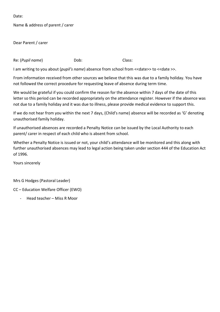Name & address of parent / carer

Dear Parent / carer

Re: (*Pupil name*) Dob: Class:

I am writing to you about (*pupil's name*) absence from school from << date>> to << date >>.

From information received from other sources we believe that this was due to a family holiday. You have not followed the correct procedure for requesting leave of absence during term time.

We would be grateful if you could confirm the reason for the absence within 7 days of the date of this letter so this period can be recorded appropriately on the attendance register. However if the absence was not due to a family holiday and it was due to illness, please provide medical evidence to support this.

If we do not hear from you within the next 7 days, (Child's name) absence will be recorded as 'G' denoting unauthorised family holiday.

If unauthorised absences are recorded a Penalty Notice can be issued by the Local Authority to each parent/ carer in respect of each child who is absent from school.

Whether a Penalty Notice is issued or not, your child's attendance will be monitored and this along with further unauthorised absences may lead to legal action being taken under section 444 of the Education Act of 1996.

Yours sincerely

Mrs G Hodges (Pastoral Leader)

CC – Education Welfare Officer (EWO)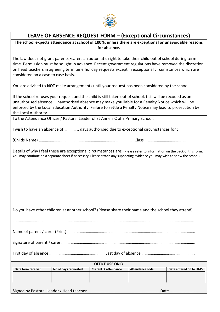

## **LEAVE OF ABSENCE REQUEST FORM – (Exceptional Circumstances)**

**The school expects attendance at school of 100%, unless there are exceptional or unavoidable reasons for absence.**

The law does not grant parents /carers an automatic right to take their child out of school during term time. Permission must be sought in advance. Recent government regulations have removed the discretion on head teachers in agreeing term time holiday requests except in exceptional circumstances which are considered on a case to case basis.

You are advised to **NOT** make arrangements until your request has been considered by the school.

If the school refuses your request and the child is still taken out of school, this will be recoded as an unauthorised absence. Unauthorised absence may make you liable for a Penalty Notice which will be enforced by the Local Education Authority. Failure to settle a Penalty Notice may lead to prosecution by the Local Authority.

To the Attendance Officer / Pastoral Leader of St Anne's C of E Primary School,

I wish to have an absence of ………….. days authorised due to exceptional circumstances for ;

(Childs Name) ………………………………………………………………………………… Class ……………………………………..

Details of why I feel these are exceptional circumstances are: (Please refer to information on the back of this form. You may continue on a separate sheet if necessary. Please attach any supporting evidence you may wish to show the school)

Do you have other children at another school? (Please share their name and the school they attend)

Name of parent / carer (Print) ……………………………………………………………………………………………………………..

……………………………………………………………………………………………………………………………………………………………..

Signature of parent / carer …………………………………………………………………………………………………………………..

First day of absence ……………………………………………… Last day of absence …………………………………………….

| <b>OFFICE USE ONLY</b> |                    |                      |                             |                 |                         |  |  |
|------------------------|--------------------|----------------------|-----------------------------|-----------------|-------------------------|--|--|
|                        | Date form received | No of days requested | <b>Current % attendance</b> | Attendance code | Date entered on to SIMS |  |  |
|                        |                    |                      |                             |                 |                         |  |  |
|                        |                    |                      |                             |                 |                         |  |  |
|                        |                    |                      |                             |                 |                         |  |  |
|                        |                    |                      |                             |                 |                         |  |  |

Signed by Pastoral Leader / Head teacher ……………………………………………………………. Date …………………………….